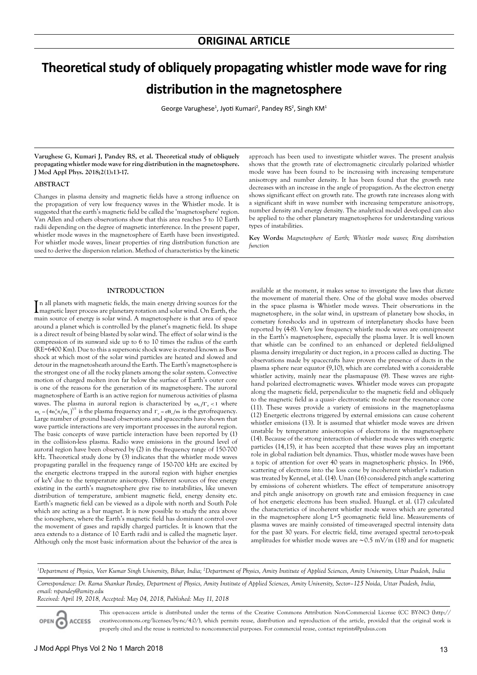# **Theoretical study of obliquely propagating whistler mode wave for ring distribution in the magnetosphere**

George Varughese<sup>1</sup>, Jyoti Kumari<sup>2</sup>, Pandey RS<sup>2</sup>, Singh KM<sup>1</sup>

**Varughese G, Kumari J, Pandey RS, et al. Theoretical study of obliquely propagating whistler mode wave for ring distribution in the magnetosphere. J Mod Appl Phys. 2018;2(1):13-17.**

# **ABSTRACT**

Changes in plasma density and magnetic fields have a strong influence on the propagation of very low frequency waves in the Whistler mode. It is suggested that the earth's magnetic field be called the 'magnetosphere' region. Van Allen and others observations show that this area reaches 5 to 10 Earth radii depending on the degree of magnetic interference. In the present paper, whistler mode waves in the magnetosphere of Earth have been investigated. For whistler mode waves, linear properties of ring distribution function are used to derive the dispersion relation. Method of characteristics by the kinetic

approach has been used to investigate whistler waves. The present analysis shows that the growth rate of electromagnetic circularly polarized whistler mode wave has been found to be increasing with increasing temperature anisotropy and number density. It has been found that the growth rate decreases with an increase in the angle of propagation. As the electron energy shows significant effect on growth rate. The growth rate increases along with a significant shift in wave number with increasing temperature anisotropy, number density and energy density. The analytical model developed can also be applied to the other planetary magnetospheres for understanding various types of instabilities.

**Key Words:** *Magnetosphere of Earth; Whistler mode waves; Ring distribution function*

# **INTRODUCTION**

In all planets with magnetic fields, the main energy driving sources for the magnetic layer process are planetary rotation and solar wind. On Earth, the n all planets with magnetic fields, the main energy driving sources for the main source of energy is solar wind. A magnetosphere is that area of space around a planet which is controlled by the planet's magnetic field. Its shape is a direct result of being blasted by solar wind. The effect of solar wind is the compression of its sunward side up to 6 to 10 times the radius of the earth (RE=6400 Km). Due to this a supersonic shock wave is created known as Bow shock at which most of the solar wind particles are heated and slowed and detour in the magnetosheath around the Earth. The Earth's magnetosphere is the strongest one of all the rocky planets among the solar system. Convective motion of charged molten iron far below the surface of Earth's outer core is one of the reasons for the generation of its magnetosphere. The auroral magnetosphere of Earth is an active region for numerous activities of plasma waves. The plasma in auroral region is characterized by  $\omega_e/\Gamma_e$  < 1 where  $\omega_e = (4n_e^2 \pi/m_e)^{1/2}$  is the plasma frequency and  $\Gamma_e = eB_e/m$  is the gyrofrequency. Large number of ground based observations and spacecrafts have shown that wave particle interactions are very important processes in the auroral region. The basic concepts of wave particle interaction have been reported by (1) in the collision-less plasma. Radio wave emissions in the ground level of auroral region have been observed by (2) in the frequency range of 150-700 kHz. Theoretical study done by (3) indicates that the whistler mode waves propagating parallel in the frequency range of 150-700 kHz are excited by the energetic electrons trapped in the auroral region with higher energies of keV due to the temperature anisotropy. Different sources of free energy existing in the earth's magnetosphere give rise to instabilities, like uneven distribution of temperature, ambient magnetic field, energy density etc. Earth's magnetic field can be viewed as a dipole with north and South Pole which are acting as a bar magnet. It is now possible to study the area above the ionosphere, where the Earth's magnetic field has dominant control over the movement of gases and rapidly charged particles. It is known that the area extends to a distance of 10 Earth radii and is called the magnetic layer. Although only the most basic information about the behavior of the area is

available at the moment, it makes sense to investigate the laws that dictate the movement of material there. One of the global wave modes observed in the space plasma is Whistler mode waves. Their observations in the magnetosphere, in the solar wind, in upstream of planetary bow shocks, in cometary foreshocks and in upstream of interplanetary shocks have been reported by (4-8). Very low frequency whistle mode waves are omnipresent in the Earth's magnetosphere, especially the plasma layer. It is well known that whistle can be confined to an enhanced or depleted field-aligned plasma density irregularity or duct region, in a process called as ducting. The observations made by spacecrafts have proven the presence of ducts in the plasma sphere near equator (9,10), which are correlated with a considerable whistler activity, mainly near the plasmapause (9). These waves are righthand polarized electromagnetic waves. Whistler mode waves can propagate along the magnetic field, perpendicular to the magnetic field and obliquely to the magnetic field as a quasi‐ electrostatic mode near the resonance cone (11). These waves provide a variety of emissions in the magnetoplasma (12) Energetic electrons triggered by external emissions can cause coherent whistler emissions (13). It is assumed that whistler mode waves are driven unstable by temperature anisotropies of electrons in the magnetosphere (14). Because of the strong interaction of whistler mode waves with energetic particles (14,15), it has been accepted that these waves play an important role in global radiation belt dynamics. Thus, whistler mode waves have been a topic of attention for over 40 years in magnetospheric physics. In 1966, scattering of electrons into the loss cone by incoherent whistler's radiation was treated by Kennel, et al. (14). Unan (16) considered pitch angle scattering by emissions of coherent whistlers. The effect of temperature anisotropy and pitch angle anisotropy on growth rate and emission frequency in case of hot energetic electrons has been studied. HuangL et al. (17) calculated the characteristics of incoherent whistler mode waves which are generated in the magnetosphere along L=5 geomagnetic field line. Measurements of plasma waves are mainly consisted of time-averaged spectral intensity data for the past 30 years. For electric field, time averaged spectral zero-to-peak amplitudes for whistler mode waves are ∼0.5 mV/m (18) and for magnetic

*<sup>1</sup>Department of Physics, Veer Kumar Singh University, Bihar, India; <sup>2</sup>Department of Physics, Amity Institute of Applied Sciences, Amity University, Uttar Pradesh, India* 

*Correspondence: Dr. Rama Shankar Pandey, Department of Physics, Amity Institute of Applied Sciences, Amity University, Sector–125 Noida, Uttar Pradesh, India, email: rspandey@amity.edu*

*Received: April 19, 2018, Accepted: May 04, 2018, Published: May 11, 2018*

OPEN G **ACCESS** 

This open-access article is distributed under the terms of the Creative Commons Attribution Non-Commercial License (CC BY-NC) (http:// creativecommons.org/licenses/by-nc/4.0/), which permits reuse, distribution and reproduction of the article, provided that the original work is properly cited and the reuse is restricted to noncommercial purposes. For commercial reuse, contact reprints@pulsus.com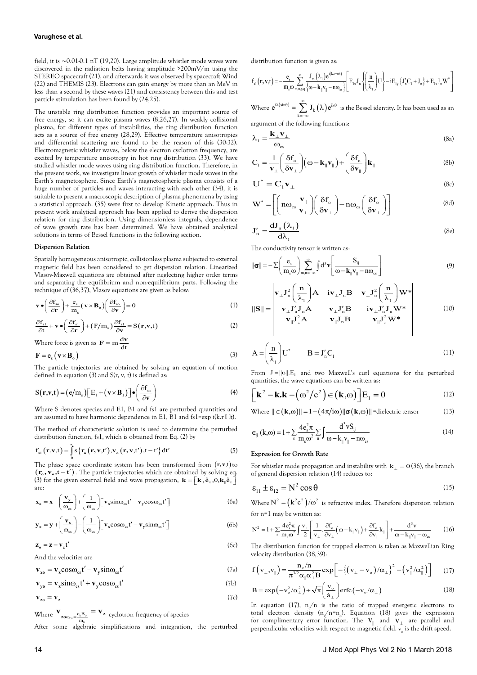### **Varughese et al.**

field, it is ∼0.01-0.1 nT (19,20). Large amplitude whistler mode waves were discovered in the radiation belts having amplitude >200mV/m using the STEREO spacecraft (21), and afterwards it was observed by spacecraft Wind (22) and THEMIS (23). Electrons can gain energy by more than an MeV in less than a second by these waves (21) and consistency between this and test particle stimulation has been found by (24,25).

The unstable ring distribution function provides an important source of free energy, so it can excite plasma waves (8,26,27). In weakly collisional plasma, for different types of instabilities, the ring distribution function acts as a source of free energy (28,29). Effective temperature anisotropies and differential scattering are found to be the reason of this (30-32). Electromagnetic whistler waves, below the electron cyclotron frequency, are excited by temperature anisotropy in hot ring distribution (33). We have studied whistler mode waves using ring distribution function. Therefore, in the present work, we investigate linear growth of whistler mode waves in the Earth's magnetosphere. Since Earth's magnetospheric plasma consists of a huge number of particles and waves interacting with each other (34), it is suitable to present a macroscopic description of plasma phenomena by using a statistical approach. (35) were first to develop Kinetic approach. Thus in present work analytical approach has been applied to derive the dispersion relation for ring distribution. Using dimensionless integrals, dependence of wave growth rate has been determined. We have obtained analytical solutions in terms of Bessel functions in the following section.

#### **Dispersion Relation**

Spatially homogeneous anisotropic, collisionless plasma subjected to external magnetic field has been considered to get dispersion relation. Linearized Vlasov-Maxwell equations are obtained after neglecting higher order terms and separating the equilibrium and non-equilibrium parts. Following the technique of (36,37), Vlasov equations are given as below:

$$
\mathbf{v} \bullet \left(\frac{\partial f_{so}}{\partial \mathbf{r}}\right) + \frac{\mathbf{e}_s}{m_s} \left(\mathbf{v} \times \mathbf{B}_o\right) \left(\frac{\partial f_{so}}{\partial \mathbf{v}}\right) = 0 \tag{1}
$$

$$
\frac{\partial \mathbf{f}_{\mathrm{sl}}}{\partial t} + \mathbf{v} \bullet \left(\frac{\partial \mathbf{f}_{\mathrm{sl}}}{\partial \mathbf{r}}\right) + \left(\mathbf{F}/\mathbf{m}_{\mathrm{s}}\right) \frac{\partial \mathbf{f}_{\mathrm{sl}}}{\partial \mathbf{v}} = \mathbf{S}\left(\mathbf{r}, \mathbf{v}, t\right) \tag{2}
$$

Where force is given as  $\mathbf{F} = \mathbf{m} \frac{d\mathbf{v}}{dt}$ 

$$
\mathbf{F} = \mathbf{e}_{\rm s} \left( \mathbf{v} \times \mathbf{B}_{\rm o} \right) \tag{3}
$$

The particle trajectories are obtained by solving an equation of motion defined in equation  $(3)$  and  $S(r, v, t)$  is defined as:

$$
S(\mathbf{r}, \mathbf{v}, t) = (e/m_s) \Big[ E_1 + (\mathbf{v} \times \mathbf{B}_1) \Big] \bullet \left( \frac{\partial f_{so}}{\partial \mathbf{v}} \right)
$$
(4)

Where S denotes species and E1, B1 and fs1 are perturbed quantities and are assumed to have harmonic dependence in E1, B1 and fs1=exp i(k.r  $\mathbb{I}$  lt).

The method of characteristic solution is used to determine the perturbed distribution function, fs1, which is obtained from Eq. (2) by

$$
\mathbf{f}_{s1}(\mathbf{r}, \mathbf{v}, t) = \int_{0}^{\infty} \mathbf{s} \{ \mathbf{r}_{o}(\mathbf{r}, \mathbf{v}, t'), \mathbf{v}_{o}(\mathbf{r}, \mathbf{v}, t'), t - t' \} dt'
$$
 (5)

The phase space coordinate system has been transformed from (**r, v**,t) to  $(\mathbf{r}_o, \mathbf{v}_o, t - t')$ . The particle trajectories which are obtained by solving eq. (3) for the given external field and wave propagation,  $\mathbf{k} = [\mathbf{k}_{\perp} \hat{\mathbf{e}}_{x}, \mathbf{0}, \mathbf{k}_{\parallel} \hat{\mathbf{e}}_{z}]$ are:

$$
\mathbf{x}_{o} = \mathbf{x} + \left(\frac{\mathbf{v}_{y}}{\omega_{cs}}\right) + \left(\frac{1}{\omega_{cs}}\right) \left[\mathbf{v}_{x} \sin \omega_{cs} t' - \mathbf{v}_{y} \cos \omega_{cs} t'\right]
$$
(6a)

$$
\mathbf{y}_{o} = \mathbf{y} + \left(\frac{\mathbf{v}_{x}}{\omega_{cs}}\right) - \left(\frac{1}{\omega_{cs}}\right) \left[\mathbf{v}_{x} \cos \omega_{cs} t' - \mathbf{v}_{y} \sin \omega_{cs} t'\right]
$$
(6b)

$$
\mathbf{z}_o = \mathbf{z} - \mathbf{v}_z t' \tag{6c}
$$

And the velocities are

$$
\mathbf{v}_{xo} = \mathbf{v}_{x} \cos \omega_{cs} t' - \mathbf{v}_{y} \sin \omega_{cs} t'
$$
 (7a)

$$
\mathbf{v}_{yo} = \mathbf{v}_x \sin \omega_{cs} t' + \mathbf{v}_y \cos \omega_{cs} t'
$$
 (7b)

$$
\mathbf{v}_{\mathbf{z}\mathbf{o}} = \mathbf{v}_{\mathbf{z}} \tag{7c}
$$

Where  $\frac{V_{\text{zo}\omega_{\text{cs}}=\frac{e_{\text{s}}B_{\text{o}}}{m_{\text{s}}}}}{m_{\text{s}}}$  $\mathbf{v}_{\mathbf{z}\mathbf{o}\omega_{\rm cs}=\frac{\mathbf{e}_{\rm s}\mathbf{B}_{\rm o}}{\mathbf{m}_{\rm s}}} = \mathbf{v}_{\mathbf{z}}$  cyclotron frequency of species After some algebraic simplifications and integration, the perturbed distribution function is given as:

$$
f_{s1}(\mathbf{r}, \mathbf{v}, t) = -\frac{e_s}{m_s \omega} \sum_{m,n,p,q}^{\infty} \frac{J_m(\lambda_1) e^{i(kr - \omega t)}}{\omega - \mathbf{k}_\parallel \mathbf{v}_\parallel - n \omega_{cs}} \left[ E_{1x} J_n \left\{ \left( \frac{n}{\lambda_1} \right) U \right\} - i E_{1y} \left\{ J_n' C_1 + J_n \right\} + E_{1x} J_n W^* \right]
$$

Where  $e^{i\lambda(\sin\theta)} = \sum_{k=-\infty} J_k(\lambda) e^{ik}$  $e^{i\lambda(\sin\theta)} = \sum_{k=0}^{\infty} J_k(\lambda)e^{ik\theta}$  $=\sum_{k=-\infty} J_k(\lambda)e^{ik\theta}$  is the Bessel identity. It has been used as an argument of the following functions:

$$
\lambda_1 = \frac{\mathbf{k}_{\perp} \mathbf{v}_{\perp}}{\omega_{\rm cs}}
$$
 (8a)

$$
C_1 = \frac{1}{\mathbf{v}_{\perp}} \left( \frac{\delta \mathbf{f}_{o}}{\delta \mathbf{v}_{\perp}} \right) \left( \boldsymbol{\omega} - \mathbf{k}_{\parallel} \mathbf{v}_{\parallel} \right) + \left( \frac{\delta \mathbf{f}_{o}}{\delta \mathbf{v}_{\parallel}} \right) \mathbf{k}_{\parallel}
$$
 (8b)

$$
\mathbf{U}^* = \mathbf{C}_1 \mathbf{v}_{\perp} \tag{8c}
$$

$$
\mathbf{W}^* = \left[ \left( \mathbf{n} \omega_{\text{cs}} \frac{\mathbf{v}_{\parallel}}{\mathbf{v}_{\perp}} \right) \left( \frac{\delta \mathbf{f}_{\text{o}}}{\delta \mathbf{v}_{\perp}} \right) - \mathbf{n} \omega_{\text{cs}} \left( \frac{\delta \mathbf{f}_{\text{o}}}{\delta \mathbf{v}_{\perp}} \right) \right]
$$
(8d)

$$
J'_{n} = \frac{dJ_{n}(\lambda_{1})}{d\lambda_{1}} \tag{8e}
$$

The conductivity tensor is written as:

$$
\|\boldsymbol{\sigma}\| = -\sum \left(\frac{\mathbf{e}_s}{\mathbf{m}_s \omega}\right) \sum_{m,n=-\infty}^{\infty} \int d^3 \mathbf{v} \left[\frac{S_{ij}}{\omega - \mathbf{k}_{\parallel} \mathbf{v}_{\parallel} - n \omega_{cs}}\right]
$$
(9)

$$
||\mathbf{S}|| = \begin{vmatrix} \mathbf{v}_{\perp} \mathbf{J}_{n}^{2} \left( \frac{\mathbf{n}}{\lambda_{1}} \right) \mathbf{A} & \mathbf{i} \mathbf{v}_{\perp} \mathbf{J}_{n} \mathbf{B} & \mathbf{v}_{\perp} \mathbf{J}_{n}^{2} \left( \frac{\mathbf{n}}{\lambda_{1}} \right) \mathbf{W}^{*} \\ \mathbf{v}_{\perp} \mathbf{J}_{n}^{\prime} \mathbf{J}_{n} \mathbf{A} & \mathbf{v}_{\perp} \mathbf{J}_{n}^{\prime} \mathbf{B} & \mathbf{i} \mathbf{v}_{\perp} \mathbf{J}_{n}^{\prime} \mathbf{J}_{n} \mathbf{W}^{*} \\ \mathbf{v}_{\parallel} \mathbf{J}_{n}^{2} \mathbf{A} & \mathbf{v}_{\parallel} \mathbf{J}_{n} \mathbf{B} & \mathbf{v}_{\parallel} \mathbf{J}_{n}^{2} \mathbf{W}^{*} \end{vmatrix} \tag{10}
$$

$$
A = \left(\frac{n}{\lambda_1}\right)U^* \qquad B = J'_nC_1 \tag{11}
$$

From  $J = ||\sigma||$ . E<sub>1</sub> and two Maxwell's curl equations for the perturbed quantities, the wave equations can be written as:

$$
\left[\mathbf{k}^{2} - \mathbf{k}.\mathbf{k} - (\omega^{2}/c^{2}) \in (\mathbf{k}, \omega)\right] E_{1} = 0 \tag{12}
$$

Where 
$$
|| \in (\mathbf{k}, \omega)|| = 1 - (4\pi/i\omega)||\sigma(\mathbf{k}, \omega)||
$$
 = dielectric tensor (13)

$$
\epsilon_{ij} \left( k, \omega \right) = 1 + \sum_{s} \frac{4e_s^2 \pi}{m_s \omega^2} \sum_{n} \int \frac{d^3 v S_{ij}}{\omega - k_{||} v_{||} - n \omega_{cs}} \tag{14}
$$

#### **Expression for Growth Rate**

For whistler mode propagation and instability with  $k_+ = 0(36)$ , the branch of general dispersion relation (14) reduces to:

$$
\varepsilon_{11} \pm \varepsilon_{12} = N^2 \cos \theta \tag{15}
$$

Where  $N^2 = (k^2 c^2)/\omega^2$  is refractive index. Therefore dispersion relation for n=1 may be written as:

$$
N^2 = 1 + \sum_{s} \frac{4e_s^2 \pi}{m_s \omega^2} \int \frac{v_\perp}{2} \left[ \frac{1}{v_\perp} \cdot \frac{\partial f_\circ}{\partial v_\perp} \left( \omega - k_{\parallel} v_{\parallel} \right) + \frac{\partial f_\circ}{\partial v_{\parallel}} k_{\parallel} \right] + \frac{d^3 v}{\omega - k_{\parallel} v_{\parallel} - \omega_{cs}} \tag{16}
$$

The distribution function for trapped electron is taken as Maxwellian Ring velocity distribution (38,39):

$$
f(v_{\perp},v_{\parallel}) = \frac{n_e/n}{\pi^{3/2}\alpha_{\parallel}\alpha_{\perp}^2 B} \exp\left[-\left\{(v_{\perp} - v_o)/\alpha_{\perp}\right\}^2 - \left(v_{\parallel}^2/\alpha_{\parallel}^2\right)\right] \tag{17}
$$

$$
B = \exp(-v_0^2/\alpha_\perp^2) + \sqrt{\pi} \left(\frac{v_0}{\acute{a}_\perp}\right) \text{erfc}\left(-v_0/\alpha_\perp\right) \tag{18}
$$

In equation (17),  $n_e/n$  is the ratio of trapped energetic electrons to total electron density  $(n_{e}/n=n_{o})$ . Equation (18) gives the expression for complimentary error function. The  $V_{\parallel}$  and  $V_{\perp}$  are parallel and perpendicular velocities with respect to magnetic field.  $\overline{v_{o}}$  is the drift speed.

#### 14 J Mod Appl Phys Vol 2 No 1 March 2018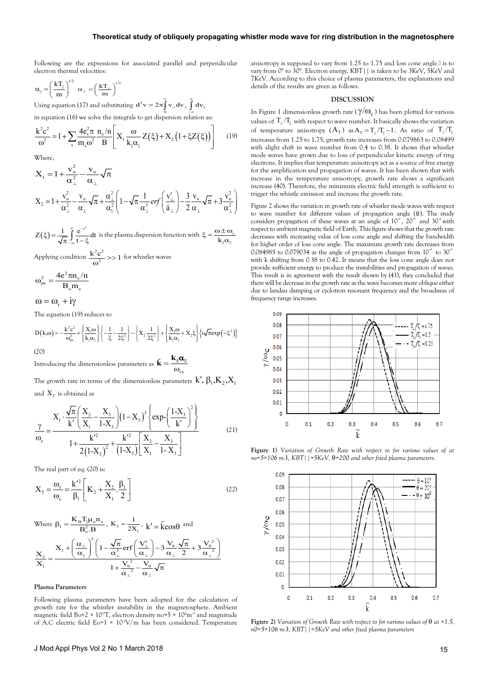Following are the expressions for associated parallel and perpendicular electron thermal velocities:

$$
\alpha_{\parallel} = \left(\frac{kT_{\parallel}}{m}\right)^{1/2} \ \alpha_{\perp} = \left(\frac{kT_{\perp}}{m}\right)^{1/2}
$$

Using equation (17) and substituting  $\mathbf{d}^3 \mathbf{v} = 2\pi \int_0^{\infty} \mathbf{v}_{\perp} d\mathbf{v}_{\perp} \int_{-\infty}^{\infty} d\mathbf{v}_{\parallel}$  $=2\pi\int\limits_0^\infty \mathbf{v}_\perp \mathbf{dv}_\perp \int\limits_{-\infty}^\infty$ 

in equation (16) we solve the integrals to get dispersion relation as:

$$
\frac{k^2c^2}{\omega^2} = 1 + \sum_{s} \frac{4e_s^2\pi}{m_s\omega^2} \frac{n_e/n}{B} \left[ X_1 \frac{\omega}{k_{\parallel}\alpha_{\parallel}} Z(\xi) + X_2 \left( 1 + \xi Z(\xi) \right) \right] \tag{19}
$$

Where,

$$
X_1 = 1 + \frac{v_o^2}{\alpha_\perp^2} - \frac{v_o}{\alpha_\perp} \sqrt{\pi}
$$
  
\n
$$
X_2 = 1 + \frac{v_o^2}{\alpha_\perp^2} - \frac{v_o}{\alpha_\perp} \sqrt{\pi} + \frac{\alpha_\perp^2}{\alpha_\parallel^2} \left(1 - \sqrt{\pi} \frac{1}{\alpha_\perp^3} erf\left(\frac{v_\perp}{\acute{a}_\perp}\right) - \frac{3}{2} \frac{v_o}{\alpha_\perp} \sqrt{\pi} + 3 \frac{v_o^2}{\alpha_\perp^2}\right)
$$

 $Z(\xi) = \frac{1}{\sqrt{\pi}} \int_{-\infty}^{\infty} \frac{e^{-t^2}}{t - \xi} dt$ ∞ −  $\zeta = \frac{1}{\sqrt{\pi}} \int_{-\infty}^{\infty} \frac{e^{-t^2}}{t - \xi} dt$  is the plasma dispersion function with  $\xi = \frac{\omega \pm \omega_c}{k_{\parallel} \alpha_{\parallel}}$ 

Applying condition  $\frac{k^2 c^2}{\omega^2} >> 1$  for whistler waves

$$
\omega_{\rm ps}^2 = \frac{4e^2\pi n_{\rm e}/n}{B_{\rm o}m_{\rm e}}
$$

 $\omega = \omega_r + i\gamma$ 

The equation (19) reduces to

$$
D\big(k,\omega\big)=-\frac{k^2c^2}{\omega_{ps}^2}+\Bigg\{\frac{X_1\omega}{k_\parallel\alpha_\parallel}\Bigg\}\bigg\{-\frac{1}{\xi}-\frac{1}{2\xi^3}\bigg\}-\Bigg\{X_2\frac{1}{2\xi^2}\Bigg\}+\Bigg\{\frac{X_1\omega}{k_\parallel\alpha_\parallel}+X_2\xi\Bigg\}\Big\{i\sqrt{\pi}exp\Big(-\xi^2\Big)\Big\}
$$

(20)

Introducing the dimensionless parameters as  $\tilde{\mathbf{k}} = \frac{\mathbf{k}_{\parallel} \boldsymbol{\alpha}_{\parallel}}{\omega_{\text{cs}}}$ 

The growth rate in terms of the dimensionless parameters  $k',\beta_l, K_{\scriptscriptstyle\mathcal{I}}, X_{\scriptscriptstyle\mathcal{I}}$ and  $X_2$  is obtained as

$$
\frac{\gamma}{\omega_c} = \frac{X_1 \cdot \frac{\sqrt{\pi}}{k'} \left( \frac{X_2}{X_1} - \frac{X_3}{1 - X_3} \right) (1 - X_3)^3 \left\{ \exp\left( \frac{1 - X_3}{k'} \right)^2 \right\}}{1 + \frac{k'^2}{2(1 - X_3)^2} + \frac{k'^2}{(1 - X_3)} \left[ \frac{X_2}{X_1} - \frac{X_3}{1 - X_3} \right]}
$$
(21)

The real part of eq. (20) is:

$$
X_3 = \frac{\omega_r}{\omega_c} = \frac{k'^2}{\beta_1} \left[ K_2 + \frac{X_2}{X_1} \cdot \frac{\beta_1}{2} \right]
$$
 (22)

$$
\begin{aligned} &\text{Where } \beta_1 = \frac{K_B T_{\parallel} \mu_o n_o}{B_o^2.B}, \ K_2 = \frac{1}{2X_1}, \ k' = \tilde{k} cos\theta \text{ and} \\ &\frac{X_2}{X_1} = \frac{X_1 + \left(\frac{\alpha_\perp}{\alpha_\parallel}\right)^2 \left(1 - \frac{\sqrt{\pi}}{\alpha_\perp^3} erf\left(\frac{V'_\perp}{\alpha_\perp}\right) - 3\frac{V_o}{\alpha_\perp} \frac{\sqrt{\pi}}{2} + 3\frac{V_o^2}{\alpha_\perp^2}\right)}{1 + \frac{V_o^2}{\alpha_\perp^2} - \frac{V_o}{\alpha_\perp} \sqrt{\pi}} \end{aligned}
$$

## **Plasma Parameters**

Following plasma parameters have been adopted for the calculation of growth rate for the whistler instability in the magnetosphere. Ambient magnetic field Bo=2  $\times$  10<sup>7</sup>T, electron density no=5  $\times$  10<sup>6</sup>m<sup>3</sup> and magnitude of A.C electric field Eo=1  $\times$  10<sup>-2</sup>V/m has been considered. Temperature anisotropy is supposed to vary from 1.25 to 1.75 and loss cone angle θ is to vary from 0° to 30°. Electron energy, KBT|| is taken to be 3KeV, 5KeV and 7KeV. According to this choice of plasma parameters, the explanations and details of the results are given as follows.

#### **DISCUSSION**

In Figure 1 dimensionless growth rate ( $\gamma/\omega_c$ ) has been plotted for various values of  $T_1/T_1$  with respect to wave number. It basically shows the variation of temperature anisotropy  $(A_T)$  as  $A_T = T_1/T_1 - 1$ . As ratio of  $T_1/T_1$ increases from 1.25 to 1.75, growth rate increases from 0.079863 to 0.08499 with slight shift in wave number from 0.4 to 0.38. It shows that whistler mode waves have grown due to loss of perpendicular kinetic energy of ring electrons. It implies that temperature anisotropy act as a source of free energy for the amplification and propagation of waves. It has been shown that with increase in the temperature anisotropy, growth rate shows a significant increase (40). Therefore, the minimum electric field strength is sufficient to trigger the whistle emission and increase the growth rate.

Figure 2 shows the variation in growth rate of whistler mode waves with respect to wave number for different values of propagation angle  $(θ)$ . The study considers propagation of these waves at an angle of  $10^\circ$ ,  $20^\circ$  and  $30^\circ$  with respect to ambient magnetic field of Earth. This figure shows that the growth rate decreases with increasing value of loss cone angle and shifting the bandwidth for higher order of loss cone angle. The maximum growth rate decreases from 0.084985 to 0.079034 as the angle of propagation changes from  $10^{\circ}$  to  $30^{\circ}$ with k shifting from 0.38 to 0.42. It means that the loss cone angle does not provide sufficient energy to produce the instabilities and propagation of waves. This result is in agreement with the result shown by (41), they concluded that there will be decrease in the growth rate as the wave becomes more oblique either due to landau damping or cyclotron resonant frequency and the broadness of frequency range increases.



**Figure 1)** *Variation of Growth Rate with respect to for various values of at no=5×106 m-3, KBT||=5KeV,* θ*=200 and other fixed plasma parameters.*



**Figure 2)** *Variation of Growth Rate with respect to for various values of* θ *at =1.5, n0=5×106 m-3, KBT||=5KeV and other fixed plasma parameters*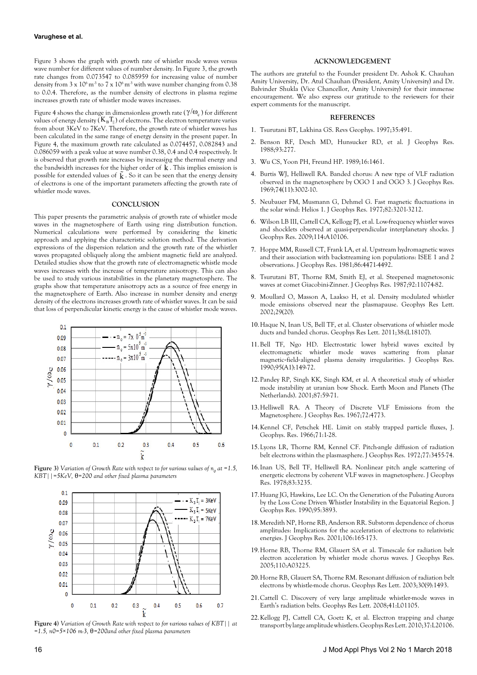### **Varughese et al.**

Figure 3 shows the graph with growth rate of whistler mode waves versus wave number for different values of number density. In Figure 3, the growth rate changes from 0.073547 to 0.085959 for increasing value of number density from  $3 \times 10^6$  m<sup>-3</sup> to  $7 \times 10^6$  m<sup>-3</sup> with wave number changing from 0.38 to 0.0.4. Therefore, as the number density of electrons in plasma regime increases growth rate of whistler mode waves increases.

Figure 4 shows the change in dimensionless growth rate ( $\gamma/\omega_c$ ) for different values of energy density  $(K_B T_{\parallel})$  of electrons. The electron temperature varies from about 3KeV to 7KeV. Therefore, the growth rate of whistler waves has been calculated in the same range of energy density in the present paper. In Figure 4, the maximum growth rate calculated as 0.074457, 0.082843 and 0.086059 with a peak value at wave number 0.38, 0.4 and 0.4 respectively. It is observed that growth rate increases by increasing the thermal energy and the bandwidth increases for the higher order of  $\hat{k}$ . This implies emission is possible for extended values of  $\tilde{k}$  . So it can be seen that the energy density of electrons is one of the important parameters affecting the growth rate of whistler mode waves.

### **CONCLUSION**

This paper presents the parametric analysis of growth rate of whistler mode waves in the magnetosphere of Earth using ring distribution function. Numerical calculations were performed by considering the kinetic approach and applying the characteristic solution method. The derivation expressions of the dispersion relation and the growth rate of the whistler waves propagated obliquely along the ambient magnetic field are analyzed. Detailed studies show that the growth rate of electromagnetic whistle mode waves increases with the increase of temperature anisotropy. This can also be used to study various instabilities in the planetary magnetosphere. The graphs show that temperature anisotropy acts as a source of free energy in the magnetosphere of Earth. Also increase in number density and energy density of the electrons increases growth rate of whistler waves. It can be said that loss of perpendicular kinetic energy is the cause of whistler mode waves.



**Figure 3)** Variation of Growth Rate with respect to for various values of  $n_{\text{o}}$  at =1.5, *KBT||=5KeV,* θ*=200 and other fixed plasma parameters*



**Figure 4)** *Variation of Growth Rate with respect to for various values of KBT|| at =1.5, n0=5×106 m-3,* θ*=200and other fixed plasma parameters*

## **ACKNOWLEDGEMENT**

The authors are grateful to the Founder president Dr. Ashok K. Chauhan Amity University, Dr. Atul Chauhan (President, Amity University) and Dr. Balvinder Shukla (Vice Chancellor, Amity University) for their immense encouragement. We also express our gratitude to the reviewers for their expert comments for the manuscript.

# **REFERENCES**

- 1. Tsurutani BT, Lakhina GS. Revs Geophys. 1997;35:491.
- 2. Benson RF, Desch MD, Hunsucker RD, et al. J Geophys Res. 1988;93:277.
- 3. Wu CS, Yoon PH, Freund HP. 1989;16:1461.
- 4. Burtis WJ, Helliwell RA. Banded chorus: A new type of VLF radiation observed in the magnetosphere by OGO 1 and OGO 3. J Geophys Res. 1969;74(11):3002-10.
- 5. Neubauer FM, Musmann G, Dehmel G. Fast magnetic fluctuations in the solar wind: Helios 1. J Geophys Res. 1977;82:3201-3212.
- 6. Wilson LB III, Cattell CA, Kellogg PJ, et al. Low-frequency whistler waves and shocklets observed at quasi-perpendicular interplanetary shocks. J Geophys Res. 2009;114:A10106.
- 7. Hoppe MM, Russell CT, Frank LA, et al. Upstream hydromagnetic waves and their association with backstreaming ion populations: ISEE 1 and 2 observations. J Geophys Res. 1981;86:4471-4492.
- 8. Tsurutani BT, Thorne RM, Smith EJ, et al. Steepened magnetosonic waves at comet Giacobini-Zinner. J Geophys Res. 1987;92:11074-82.
- 9. Moullard O, Masson A, Laakso H, et al. Density modulated whistler mode emissions observed near the plasmapause. Geophys Res Lett. 2002;29(20).
- 10.Haque N, Inan US, Bell TF, et al. Cluster observations of whistler mode ducts and banded chorus. Geophys Res Lett. 2011;38:(L18107).
- 11.Bell TF, Ngo HD. Electrostatic lower hybrid waves excited by electromagnetic whistler mode waves scattering from planar magnetic‐field‐aligned plasma density irregularities. J Geophys Res. 1990;95(A1):149-72.
- 12.Pandey RP, Singh KK, Singh KM, et al. A theoretical study of whistler mode instability at uranian bow Shock. Earth Moon and Planets (The Netherlands). 2001;87:59-71.
- 13.Helliwell RA. A Theory of Discrete VLF Emissions from the Magnetosphere. J Geophys Res. 1967;72:4773.
- 14.Kennel CF, Petschek HE. Limit on stably trapped particle fluxes, J. Geophys. Res. 1966;71:1-28.
- 15.Lyons LR, Thorne RM, Kennel CF. Pitch-angle diffusion of radiation belt electrons within the plasmasphere. J Geophys Res. 1972;77:3455-74.
- 16.Inan US, Bell TF, Helliwell RA. Nonlinear pitch angle scattering of energetic electrons by coherent VLF waves in magnetosphere. J Geophys Res. 1978;83:3235.
- 17.Huang JG, Hawkins, Lee LC. On the Generation of the Pulsating Aurora by the Loss Cone Driven Whistler Instability in the Equatorial Region. J Geophys Res. 1990;95:3893.
- 18.Meredith NP, Horne RB, Anderson RR. Substorm dependence of chorus amplitudes: Implications for the acceleration of electrons to relativistic energies. J Geophys Res. 2001;106:165-173.
- 19.Horne RB, Thorne RM, Glauert SA et al. Timescale for radiation belt electron acceleration by whistler mode chorus waves. J Geophys Res. 2005;110:A03225.
- 20.Horne RB, Glauert SA, Thorne RM. Resonant diffusion of radiation belt electrons by whistle-mode chorus. Geophys Res Lett. 2003;30(9):1493.
- 21.Cattell C. Discovery of very large amplitude whistler-mode waves in Earth's radiation belts. Geophys Res Lett. 2008;41:L01105.
- 22.Kellogg PJ, Cattell CA, Goetz K, et al. Electron trapping and charge transport by large amplitude whistlers. Geophys Res Lett. 2010;37:L20106.